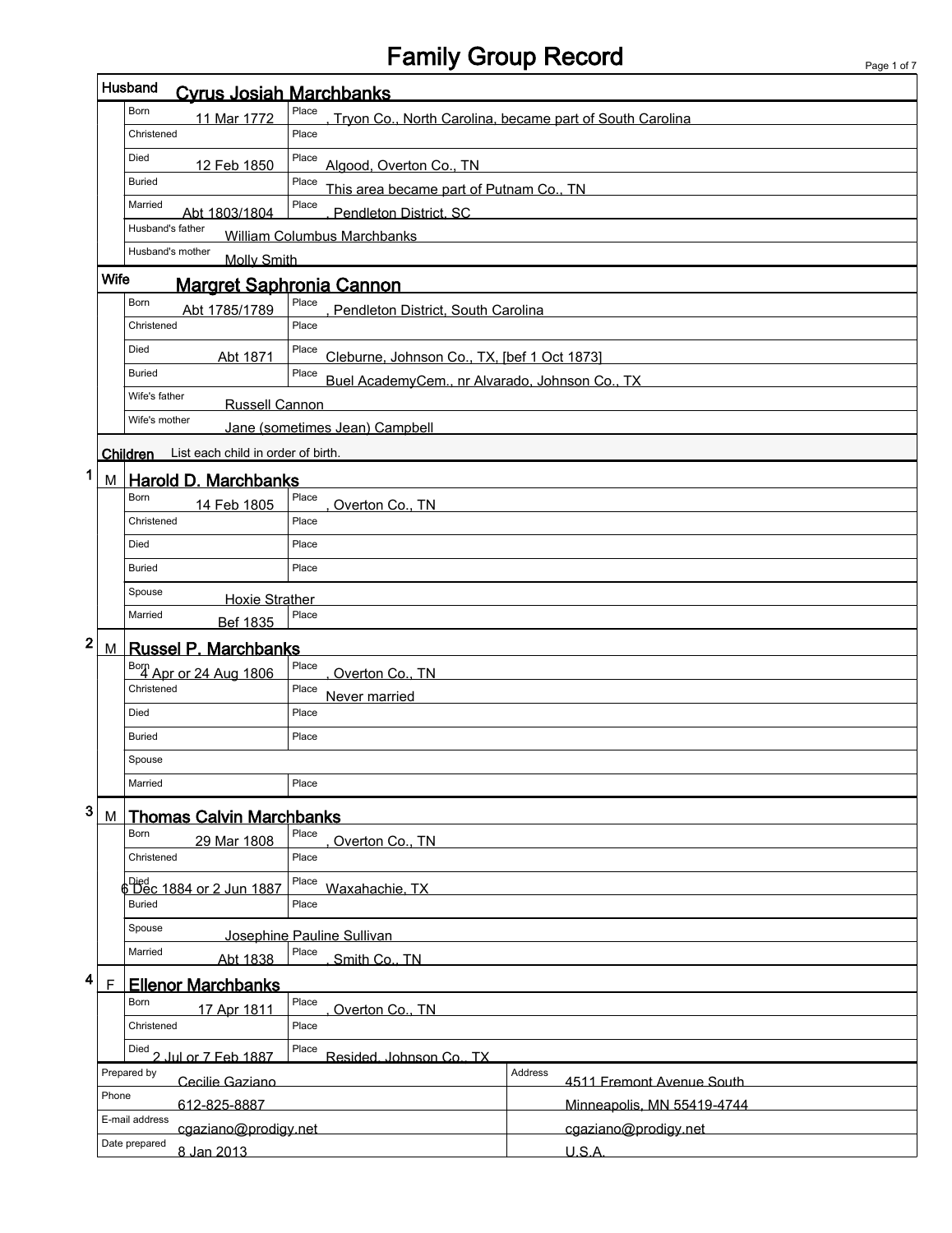# Family Group Record

 $\overline{1}$ 

|                                                                   |             | Husband<br><b>Cyrus Josiah Marchbanks</b>   |                                                                   |         |                            |
|-------------------------------------------------------------------|-------------|---------------------------------------------|-------------------------------------------------------------------|---------|----------------------------|
|                                                                   |             | Born<br>11 Mar 1772                         | Place<br>Tryon Co., North Carolina, became part of South Carolina |         |                            |
|                                                                   |             | Christened                                  | Place                                                             |         |                            |
| Died<br>Place<br>12 Feb 1850<br>Algood, Overton Co., TN           |             |                                             |                                                                   |         |                            |
| Place<br><b>Buried</b><br>This area became part of Putnam Co., TN |             |                                             |                                                                   |         |                            |
|                                                                   |             | Married<br>Abt 1803/1804                    | Place<br>Pendleton District, SC                                   |         |                            |
|                                                                   |             | Husband's father                            | <b>William Columbus Marchbanks</b>                                |         |                            |
|                                                                   |             | Husband's mother<br><b>Molly Smith</b>      |                                                                   |         |                            |
|                                                                   | <b>Wife</b> |                                             | <b>Margret Saphronia Cannon</b>                                   |         |                            |
|                                                                   |             | Born<br>Abt 1785/1789                       | Place<br>Pendleton District, South Carolina                       |         |                            |
|                                                                   |             | Christened                                  | Place                                                             |         |                            |
|                                                                   |             | Died<br>Abt 1871                            | Place<br>Cleburne, Johnson Co., TX, [bef 1 Oct 1873]              |         |                            |
|                                                                   |             | <b>Buried</b>                               | Place<br>Buel AcademyCem., nr Alvarado, Johnson Co., TX           |         |                            |
|                                                                   |             | Wife's father<br><b>Russell Cannon</b>      |                                                                   |         |                            |
|                                                                   |             | Wife's mother                               | Jane (sometimes Jean) Campbell                                    |         |                            |
|                                                                   |             | Children List each child in order of birth. |                                                                   |         |                            |
| 1                                                                 |             | M Harold D. Marchbanks                      |                                                                   |         |                            |
|                                                                   |             | Born<br>14 Feb 1805                         | Place<br>Overton Co., TN                                          |         |                            |
|                                                                   |             | Christened                                  | Place                                                             |         |                            |
|                                                                   |             | Died                                        | Place                                                             |         |                            |
|                                                                   |             | <b>Buried</b>                               | Place                                                             |         |                            |
|                                                                   |             | Spouse<br><b>Hoxie Strather</b>             |                                                                   |         |                            |
|                                                                   |             | Married<br>Bef 1835                         | Place                                                             |         |                            |
| 2                                                                 | М           | <b>Russel P. Marchbanks</b>                 |                                                                   |         |                            |
|                                                                   |             | Born<br>4 Apr or 24 Aug 1806                | Place<br>Overton Co., TN                                          |         |                            |
|                                                                   |             | Christened                                  | Place<br>Never married                                            |         |                            |
|                                                                   |             | Died                                        | Place                                                             |         |                            |
|                                                                   |             | <b>Buried</b>                               | Place                                                             |         |                            |
|                                                                   |             | Spouse                                      |                                                                   |         |                            |
|                                                                   |             | Married                                     | Place                                                             |         |                            |
| 3                                                                 |             |                                             |                                                                   |         |                            |
|                                                                   | M           | <b>Thomas Calvin Marchbanks</b><br>Born     | Place                                                             |         |                            |
|                                                                   |             | 29 Mar 1808<br>Christened                   | Overton Co., TN<br>Place                                          |         |                            |
|                                                                   |             | Died<br>6 Dec 1884 or 2 Jun 1887            | Place                                                             |         |                            |
|                                                                   |             | <b>Buried</b>                               | Waxahachie, TX<br>Place                                           |         |                            |
|                                                                   |             | Spouse                                      |                                                                   |         |                            |
|                                                                   |             | Married                                     | Josephine Pauline Sullivan<br>Place                               |         |                            |
| 4                                                                 |             | Abt 1838                                    | Smith Co., TN                                                     |         |                            |
|                                                                   | F           | <b>Ellenor Marchbanks</b><br>Born           | Place                                                             |         |                            |
|                                                                   |             | 17 Apr 1811<br>Christened                   | Overton Co., TN<br>Place                                          |         |                            |
|                                                                   |             |                                             | Place                                                             |         |                            |
|                                                                   |             | Died 2 Jul or 7 Feb 1887<br>Prepared by     | Resided. Johnson Co., TX                                          | Address |                            |
|                                                                   | Phone       | Cecilie Gaziano                             |                                                                   |         | 4511 Fremont Avenue South  |
|                                                                   |             | 612-825-8887<br>E-mail address              |                                                                   |         | Minneapolis, MN 55419-4744 |
|                                                                   |             | cgaziano@prodigy.net<br>Date prepared       |                                                                   |         | cgaziano@prodigy.net       |
|                                                                   |             | 8 Jan 2013                                  |                                                                   |         | U.S.A.                     |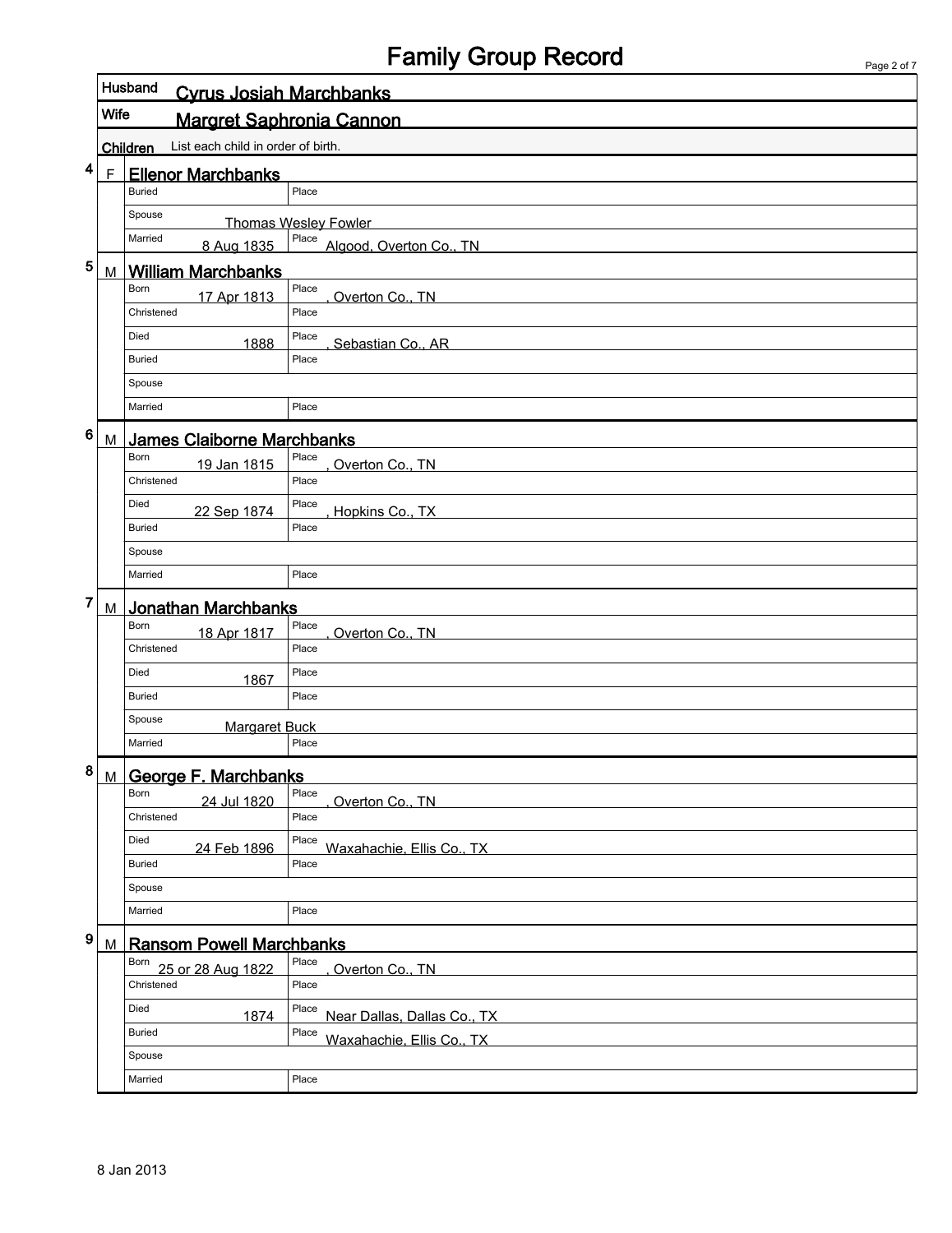## Family Group Record

|           |             | Husband<br><b>Cyrus Josiah Marchbanks</b>      |                                      |  |  |  |
|-----------|-------------|------------------------------------------------|--------------------------------------|--|--|--|
|           | Wife        | <b>Margret Saphronia Cannon</b>                |                                      |  |  |  |
|           |             | List each child in order of birth.<br>Children |                                      |  |  |  |
| 4         | $\mathsf F$ | <b>Ellenor Marchbanks</b>                      |                                      |  |  |  |
|           |             | <b>Buried</b>                                  | Place                                |  |  |  |
|           |             | Spouse                                         | <b>Thomas Wesley Fowler</b>          |  |  |  |
|           |             | Married<br>8 Aug 1835                          | Place<br>Algood, Overton Co., TN     |  |  |  |
| 5         | M           | <b>William Marchbanks</b>                      |                                      |  |  |  |
|           |             | Born<br>17 Apr 1813                            | Place<br>Overton Co., TN             |  |  |  |
|           |             | Christened                                     | Place                                |  |  |  |
|           |             | Died<br>1888                                   | Place<br>Sebastian Co., AR           |  |  |  |
|           |             | <b>Buried</b>                                  | Place                                |  |  |  |
|           |             | Spouse                                         |                                      |  |  |  |
|           |             | Married                                        | Place                                |  |  |  |
| 6         | M           | <b>James Claiborne Marchbanks</b>              |                                      |  |  |  |
|           |             | Born<br>19 Jan 1815                            | Place<br>Overton Co., TN             |  |  |  |
|           |             | Christened                                     | Place                                |  |  |  |
|           |             | Died<br>22 Sep 1874                            | Place<br>Hopkins Co., TX             |  |  |  |
|           |             | <b>Buried</b>                                  | Place                                |  |  |  |
|           |             | Spouse                                         |                                      |  |  |  |
|           |             | Married                                        | Place                                |  |  |  |
| 7         | M           | Jonathan Marchbanks                            |                                      |  |  |  |
|           |             | Born<br>18 Apr 1817                            | Place<br>Overton Co., TN             |  |  |  |
|           |             | Christened                                     | Place                                |  |  |  |
|           |             | Died<br>1867                                   | Place                                |  |  |  |
|           |             | <b>Buried</b>                                  | Place                                |  |  |  |
|           |             | Spouse<br><b>Margaret Buck</b>                 |                                      |  |  |  |
|           |             | Married                                        | Place                                |  |  |  |
| $\pmb{8}$ |             | M George F. Marchbanks                         |                                      |  |  |  |
|           |             | Born<br>24 Jul 1820                            | Place<br>Overton Co., TN             |  |  |  |
|           |             | Christened                                     | Place                                |  |  |  |
|           |             | Died<br>24 Feb 1896                            | Place<br>Waxahachie, Ellis Co., TX   |  |  |  |
|           |             | <b>Buried</b>                                  | Place                                |  |  |  |
|           |             | Spouse                                         |                                      |  |  |  |
|           |             | Married                                        | Place                                |  |  |  |
| 9         | М           | <b>Ransom Powell Marchbanks</b>                |                                      |  |  |  |
|           |             | Born 25 or 28 Aug 1822                         | Place<br>Overton Co., TN             |  |  |  |
|           |             | Christened                                     | Place                                |  |  |  |
|           |             | Died<br>1874                                   | Place<br>Near Dallas, Dallas Co., TX |  |  |  |
|           |             | <b>Buried</b>                                  | Place<br>Waxahachie, Ellis Co., TX   |  |  |  |
|           |             | Spouse                                         |                                      |  |  |  |
|           |             | Married                                        | Place                                |  |  |  |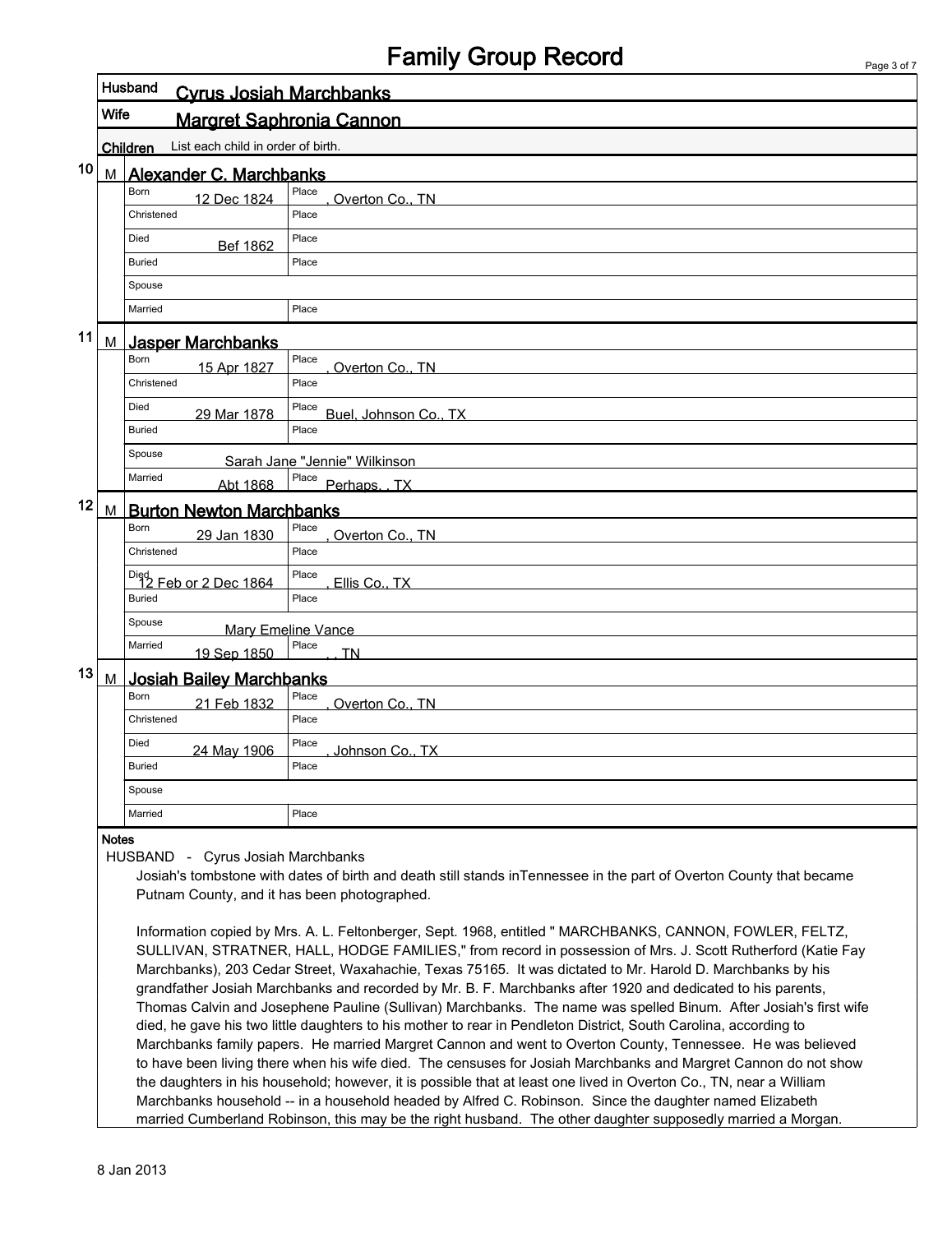## Family Group Record

|    |              |                                                       | anny Oldep Roodia                                                                                                   | Page 3 of 7 |
|----|--------------|-------------------------------------------------------|---------------------------------------------------------------------------------------------------------------------|-------------|
|    |              | Husband<br><b>Cyrus Josiah Marchbanks</b>             |                                                                                                                     |             |
|    | <b>Wife</b>  |                                                       | <b>Margret Saphronia Cannon</b>                                                                                     |             |
|    |              | List each child in order of birth.<br><b>Children</b> |                                                                                                                     |             |
| 10 | М            | Alexander C. Marchbanks                               |                                                                                                                     |             |
|    |              | <b>Born</b><br>12 Dec 1824                            | Place<br>Overton Co., TN                                                                                            |             |
|    |              | Christened                                            | Place                                                                                                               |             |
|    |              | Died<br><b>Bef 1862</b>                               | Place                                                                                                               |             |
|    |              | <b>Buried</b>                                         | Place                                                                                                               |             |
|    |              | Spouse                                                |                                                                                                                     |             |
|    |              | Married                                               | Place                                                                                                               |             |
| 11 | M            | <u>Jasper Marchbanks</u>                              |                                                                                                                     |             |
|    |              | <b>Born</b><br>15 Apr 1827                            | Place<br>Overton Co., TN                                                                                            |             |
|    |              | Christened                                            | Place                                                                                                               |             |
|    |              | Died<br>29 Mar 1878                                   | Place<br>Buel, Johnson Co., TX                                                                                      |             |
|    |              | Buried                                                | Place                                                                                                               |             |
|    |              | Spouse                                                | Sarah Jane "Jennie" Wilkinson                                                                                       |             |
|    |              | Married<br>Abt 1868                                   | Place Perhaps. TX                                                                                                   |             |
| 12 | M            | <b>Burton Newton Marchbanks</b>                       |                                                                                                                     |             |
|    |              | <b>Born</b><br>29 Jan 1830                            | Place<br>Overton Co., TN                                                                                            |             |
|    |              | Christened                                            | Place                                                                                                               |             |
|    |              | Died<br>12 Feb or 2 Dec 1864                          | Place<br>Ellis Co., TX                                                                                              |             |
|    |              | <b>Buried</b>                                         | Place                                                                                                               |             |
|    |              | Spouse                                                | <b>Mary Emeline Vance</b>                                                                                           |             |
|    |              | Married<br>19 Sep 1850                                | Place<br><b>TN</b>                                                                                                  |             |
| 13 | M            | <b>Josiah Bailey Marchbanks</b>                       |                                                                                                                     |             |
|    |              | Born<br>21 Feb 1832                                   | Place<br>Overton Co., TN                                                                                            |             |
|    |              | Christened                                            | Place                                                                                                               |             |
|    |              | Died<br>24 May 1906                                   | Place<br>Johnson Co., TX                                                                                            |             |
|    |              | Buried                                                | Place                                                                                                               |             |
|    |              | Spouse                                                |                                                                                                                     |             |
|    |              | Married                                               | Place                                                                                                               |             |
|    | <b>Notes</b> | <b>HUSBAND</b><br>Cyrus Josiah Marchbanks<br>$\sim$   |                                                                                                                     |             |
|    |              |                                                       | Josiah's tombstone with dates of birth and death still stands inTennessee in the part of Overton County that became |             |

Putnam County, and it has been photographed.

Information copied by Mrs. A. L. Feltonberger, Sept. 1968, entitled " MARCHBANKS, CANNON, FOWLER, FELTZ, SULLIVAN, STRATNER, HALL, HODGE FAMILIES," from record in possession of Mrs. J. Scott Rutherford (Katie Fay Marchbanks), 203 Cedar Street, Waxahachie, Texas 75165. It was dictated to Mr. Harold D. Marchbanks by his grandfather Josiah Marchbanks and recorded by Mr. B. F. Marchbanks after 1920 and dedicated to his parents, Thomas Calvin and Josephene Pauline (Sullivan) Marchbanks. The name was spelled Binum. After Josiah's first wife died, he gave his two little daughters to his mother to rear in Pendleton District, South Carolina, according to Marchbanks family papers. He married Margret Cannon and went to Overton County, Tennessee. He was believed to have been living there when his wife died. The censuses for Josiah Marchbanks and Margret Cannon do not show the daughters in his household; however, it is possible that at least one lived in Overton Co., TN, near a William Marchbanks household -- in a household headed by Alfred C. Robinson. Since the daughter named Elizabeth married Cumberland Robinson, this may be the right husband. The other daughter supposedly married a Morgan.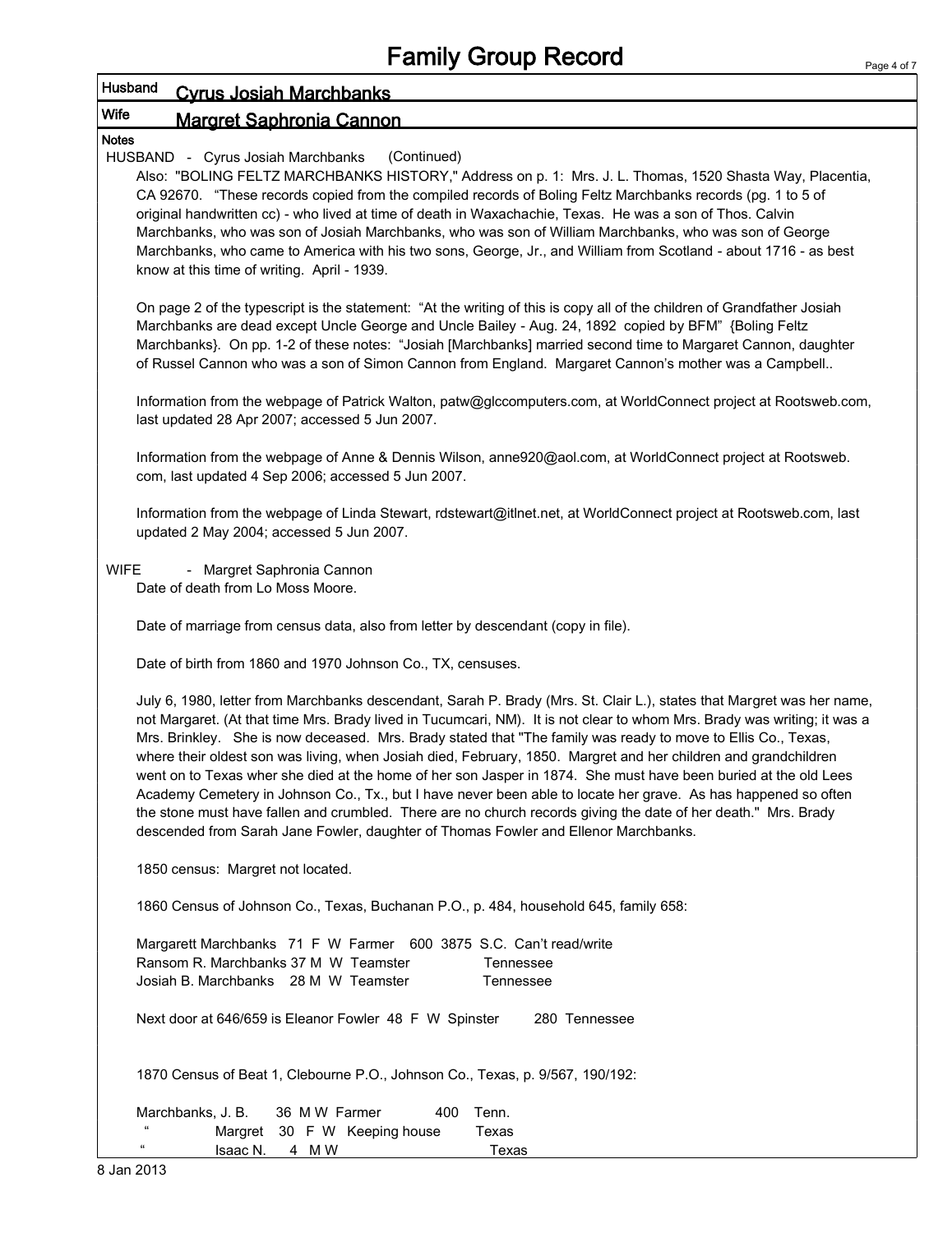|              |                                                                                                                                                                                                                                                                                                                                                                                                                                                                                                                                                                                                                                                                                                                                                                                                                                                                                                                                      | P |
|--------------|--------------------------------------------------------------------------------------------------------------------------------------------------------------------------------------------------------------------------------------------------------------------------------------------------------------------------------------------------------------------------------------------------------------------------------------------------------------------------------------------------------------------------------------------------------------------------------------------------------------------------------------------------------------------------------------------------------------------------------------------------------------------------------------------------------------------------------------------------------------------------------------------------------------------------------------|---|
|              | Husband<br><b>Cyrus Josiah Marchbanks</b>                                                                                                                                                                                                                                                                                                                                                                                                                                                                                                                                                                                                                                                                                                                                                                                                                                                                                            |   |
| <b>Wife</b>  | <b>Margret Saphronia Cannon</b>                                                                                                                                                                                                                                                                                                                                                                                                                                                                                                                                                                                                                                                                                                                                                                                                                                                                                                      |   |
| <b>Notes</b> | (Continued)<br>HUSBAND - Cyrus Josiah Marchbanks<br>Also: "BOLING FELTZ MARCHBANKS HISTORY," Address on p. 1: Mrs. J. L. Thomas, 1520 Shasta Way, Placentia,<br>CA 92670. "These records copied from the compiled records of Boling Feltz Marchbanks records (pg. 1 to 5 of<br>original handwritten cc) - who lived at time of death in Waxachachie, Texas. He was a son of Thos. Calvin<br>Marchbanks, who was son of Josiah Marchbanks, who was son of William Marchbanks, who was son of George<br>Marchbanks, who came to America with his two sons, George, Jr., and William from Scotland - about 1716 - as best<br>know at this time of writing. April - 1939.                                                                                                                                                                                                                                                                |   |
|              | On page 2 of the typescript is the statement: "At the writing of this is copy all of the children of Grandfather Josiah<br>Marchbanks are dead except Uncle George and Uncle Bailey - Aug. 24, 1892 copied by BFM" {Boling Feltz<br>Marchbanks}. On pp. 1-2 of these notes: "Josiah [Marchbanks] married second time to Margaret Cannon, daughter<br>of Russel Cannon who was a son of Simon Cannon from England. Margaret Cannon's mother was a Campbell                                                                                                                                                                                                                                                                                                                                                                                                                                                                            |   |
|              | Information from the webpage of Patrick Walton, patw@glccomputers.com, at WorldConnect project at Rootsweb.com,<br>last updated 28 Apr 2007; accessed 5 Jun 2007.                                                                                                                                                                                                                                                                                                                                                                                                                                                                                                                                                                                                                                                                                                                                                                    |   |
|              | Information from the webpage of Anne & Dennis Wilson, anne920@aol.com, at WorldConnect project at Rootsweb.<br>com, last updated 4 Sep 2006; accessed 5 Jun 2007.                                                                                                                                                                                                                                                                                                                                                                                                                                                                                                                                                                                                                                                                                                                                                                    |   |
|              | Information from the webpage of Linda Stewart, rdstewart@itlnet.net, at WorldConnect project at Rootsweb.com, last<br>updated 2 May 2004; accessed 5 Jun 2007.                                                                                                                                                                                                                                                                                                                                                                                                                                                                                                                                                                                                                                                                                                                                                                       |   |
| <b>WIFE</b>  | - Margret Saphronia Cannon<br>Date of death from Lo Moss Moore.                                                                                                                                                                                                                                                                                                                                                                                                                                                                                                                                                                                                                                                                                                                                                                                                                                                                      |   |
|              | Date of marriage from census data, also from letter by descendant (copy in file).                                                                                                                                                                                                                                                                                                                                                                                                                                                                                                                                                                                                                                                                                                                                                                                                                                                    |   |
|              | Date of birth from 1860 and 1970 Johnson Co., TX, censuses.                                                                                                                                                                                                                                                                                                                                                                                                                                                                                                                                                                                                                                                                                                                                                                                                                                                                          |   |
|              | July 6, 1980, letter from Marchbanks descendant, Sarah P. Brady (Mrs. St. Clair L.), states that Margret was her name,<br>not Margaret. (At that time Mrs. Brady lived in Tucumcari, NM). It is not clear to whom Mrs. Brady was writing; it was a<br>Mrs. Brinkley. She is now deceased. Mrs. Brady stated that "The family was ready to move to Ellis Co., Texas,<br>where their oldest son was living, when Josiah died, February, 1850. Margret and her children and grandchildren<br>went on to Texas wher she died at the home of her son Jasper in 1874. She must have been buried at the old Lees<br>Academy Cemetery in Johnson Co., Tx., but I have never been able to locate her grave. As has happened so often<br>the stone must have fallen and crumbled. There are no church records giving the date of her death." Mrs. Brady<br>descended from Sarah Jane Fowler, daughter of Thomas Fowler and Ellenor Marchbanks. |   |
|              | 1850 census: Margret not located.                                                                                                                                                                                                                                                                                                                                                                                                                                                                                                                                                                                                                                                                                                                                                                                                                                                                                                    |   |
|              | 1860 Census of Johnson Co., Texas, Buchanan P.O., p. 484, household 645, family 658:                                                                                                                                                                                                                                                                                                                                                                                                                                                                                                                                                                                                                                                                                                                                                                                                                                                 |   |
|              | Margarett Marchbanks 71 F W Farmer 600 3875 S.C. Can't read/write<br>Ransom R. Marchbanks 37 M W Teamster<br>Tennessee<br>Josiah B. Marchbanks 28 M W Teamster<br>Tennessee                                                                                                                                                                                                                                                                                                                                                                                                                                                                                                                                                                                                                                                                                                                                                          |   |
|              | Next door at 646/659 is Eleanor Fowler 48 F W Spinster<br>280 Tennessee                                                                                                                                                                                                                                                                                                                                                                                                                                                                                                                                                                                                                                                                                                                                                                                                                                                              |   |
|              | 1870 Census of Beat 1, Clebourne P.O., Johnson Co., Texas, p. 9/567, 190/192:                                                                                                                                                                                                                                                                                                                                                                                                                                                                                                                                                                                                                                                                                                                                                                                                                                                        |   |
|              | Marchbanks, J. B.<br>36 M W Farmer<br>400<br>Tenn.<br>Margret 30 F W Keeping house<br>Texas<br>$T$ <sup>2</sup><br>$\overline{A}$ $\overline{A}$ $\overline{A}$                                                                                                                                                                                                                                                                                                                                                                                                                                                                                                                                                                                                                                                                                                                                                                      |   |

Isaac N. 4 M W Texas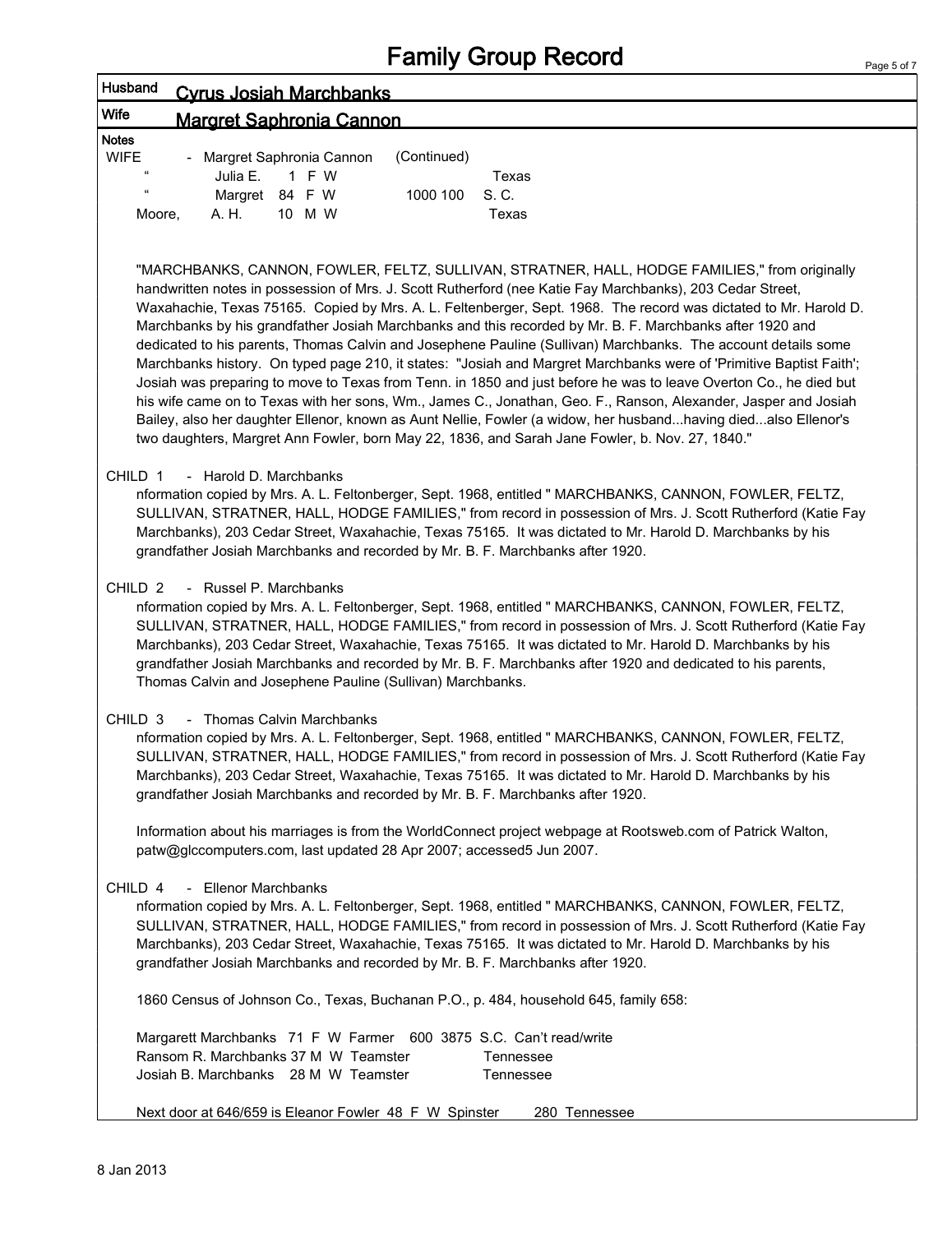| Husband<br><b>Cyrus Josiah Marchbanks</b>                                                                                                                                                                                                                                                                                                                                                                                                                                                                                                                                                                                                                                                                                                                                                                                                                                                                                                                                                                                                                                                                                                        |
|--------------------------------------------------------------------------------------------------------------------------------------------------------------------------------------------------------------------------------------------------------------------------------------------------------------------------------------------------------------------------------------------------------------------------------------------------------------------------------------------------------------------------------------------------------------------------------------------------------------------------------------------------------------------------------------------------------------------------------------------------------------------------------------------------------------------------------------------------------------------------------------------------------------------------------------------------------------------------------------------------------------------------------------------------------------------------------------------------------------------------------------------------|
| Wife<br><b>Margret Saphronia Cannon</b>                                                                                                                                                                                                                                                                                                                                                                                                                                                                                                                                                                                                                                                                                                                                                                                                                                                                                                                                                                                                                                                                                                          |
| <b>Notes</b><br><b>WIFE</b><br>(Continued)<br>- Margret Saphronia Cannon<br>Julia E.<br>F W<br>Texas<br>1<br>Margret 84 F W<br>1000 100<br>S. C.<br>A. H.<br>10 M W<br>Texas<br>Moore,                                                                                                                                                                                                                                                                                                                                                                                                                                                                                                                                                                                                                                                                                                                                                                                                                                                                                                                                                           |
| "MARCHBANKS, CANNON, FOWLER, FELTZ, SULLIVAN, STRATNER, HALL, HODGE FAMILIES," from originally<br>handwritten notes in possession of Mrs. J. Scott Rutherford (nee Katie Fay Marchbanks), 203 Cedar Street,<br>Waxahachie, Texas 75165. Copied by Mrs. A. L. Feltenberger, Sept. 1968. The record was dictated to Mr. Harold D.<br>Marchbanks by his grandfather Josiah Marchbanks and this recorded by Mr. B. F. Marchbanks after 1920 and<br>dedicated to his parents, Thomas Calvin and Josephene Pauline (Sullivan) Marchbanks. The account details some<br>Marchbanks history. On typed page 210, it states: "Josiah and Margret Marchbanks were of 'Primitive Baptist Faith';<br>Josiah was preparing to move to Texas from Tenn. in 1850 and just before he was to leave Overton Co., he died but<br>his wife came on to Texas with her sons, Wm., James C., Jonathan, Geo. F., Ranson, Alexander, Jasper and Josiah<br>Bailey, also her daughter Ellenor, known as Aunt Nellie, Fowler (a widow, her husbandhaving diedalso Ellenor's<br>two daughters, Margret Ann Fowler, born May 22, 1836, and Sarah Jane Fowler, b. Nov. 27, 1840." |
| CHILD 1<br>- Harold D. Marchbanks<br>nformation copied by Mrs. A. L. Feltonberger, Sept. 1968, entitled " MARCHBANKS, CANNON, FOWLER, FELTZ,<br>SULLIVAN, STRATNER, HALL, HODGE FAMILIES," from record in possession of Mrs. J. Scott Rutherford (Katie Fay<br>Marchbanks), 203 Cedar Street, Waxahachie, Texas 75165. It was dictated to Mr. Harold D. Marchbanks by his<br>grandfather Josiah Marchbanks and recorded by Mr. B. F. Marchbanks after 1920.                                                                                                                                                                                                                                                                                                                                                                                                                                                                                                                                                                                                                                                                                      |
| CHILD <sub>2</sub><br>- Russel P. Marchbanks<br>nformation copied by Mrs. A. L. Feltonberger, Sept. 1968, entitled " MARCHBANKS, CANNON, FOWLER, FELTZ,<br>SULLIVAN, STRATNER, HALL, HODGE FAMILIES," from record in possession of Mrs. J. Scott Rutherford (Katie Fay<br>Marchbanks), 203 Cedar Street, Waxahachie, Texas 75165. It was dictated to Mr. Harold D. Marchbanks by his<br>grandfather Josiah Marchbanks and recorded by Mr. B. F. Marchbanks after 1920 and dedicated to his parents,<br>Thomas Calvin and Josephene Pauline (Sullivan) Marchbanks.                                                                                                                                                                                                                                                                                                                                                                                                                                                                                                                                                                                |
| CHILD <sub>3</sub><br>- Thomas Calvin Marchbanks<br>nformation copied by Mrs. A. L. Feltonberger, Sept. 1968, entitled " MARCHBANKS, CANNON, FOWLER, FELTZ,<br>SULLIVAN, STRATNER, HALL, HODGE FAMILIES," from record in possession of Mrs. J. Scott Rutherford (Katie Fay<br>Marchbanks), 203 Cedar Street, Waxahachie, Texas 75165. It was dictated to Mr. Harold D. Marchbanks by his<br>grandfather Josiah Marchbanks and recorded by Mr. B. F. Marchbanks after 1920.                                                                                                                                                                                                                                                                                                                                                                                                                                                                                                                                                                                                                                                                       |
| Information about his marriages is from the WorldConnect project webpage at Rootsweb.com of Patrick Walton,<br>patw@glccomputers.com, last updated 28 Apr 2007; accessed5 Jun 2007.                                                                                                                                                                                                                                                                                                                                                                                                                                                                                                                                                                                                                                                                                                                                                                                                                                                                                                                                                              |
| - Ellenor Marchbanks<br>CHILD 4<br>nformation copied by Mrs. A. L. Feltonberger, Sept. 1968, entitled " MARCHBANKS, CANNON, FOWLER, FELTZ,<br>SULLIVAN, STRATNER, HALL, HODGE FAMILIES," from record in possession of Mrs. J. Scott Rutherford (Katie Fay<br>Marchbanks), 203 Cedar Street, Waxahachie, Texas 75165. It was dictated to Mr. Harold D. Marchbanks by his<br>grandfather Josiah Marchbanks and recorded by Mr. B. F. Marchbanks after 1920.                                                                                                                                                                                                                                                                                                                                                                                                                                                                                                                                                                                                                                                                                        |
| 1860 Census of Johnson Co., Texas, Buchanan P.O., p. 484, household 645, family 658:                                                                                                                                                                                                                                                                                                                                                                                                                                                                                                                                                                                                                                                                                                                                                                                                                                                                                                                                                                                                                                                             |
| Margarett Marchbanks 71 F W Farmer 600 3875 S.C. Can't read/write<br>Ransom R. Marchbanks 37 M W Teamster<br>Tennessee<br>Josiah B. Marchbanks 28 M W Teamster<br>Tennessee                                                                                                                                                                                                                                                                                                                                                                                                                                                                                                                                                                                                                                                                                                                                                                                                                                                                                                                                                                      |
| Next door at 646/659 is Eleanor Fowler 48 F W Spinster<br>280 Tennessee                                                                                                                                                                                                                                                                                                                                                                                                                                                                                                                                                                                                                                                                                                                                                                                                                                                                                                                                                                                                                                                                          |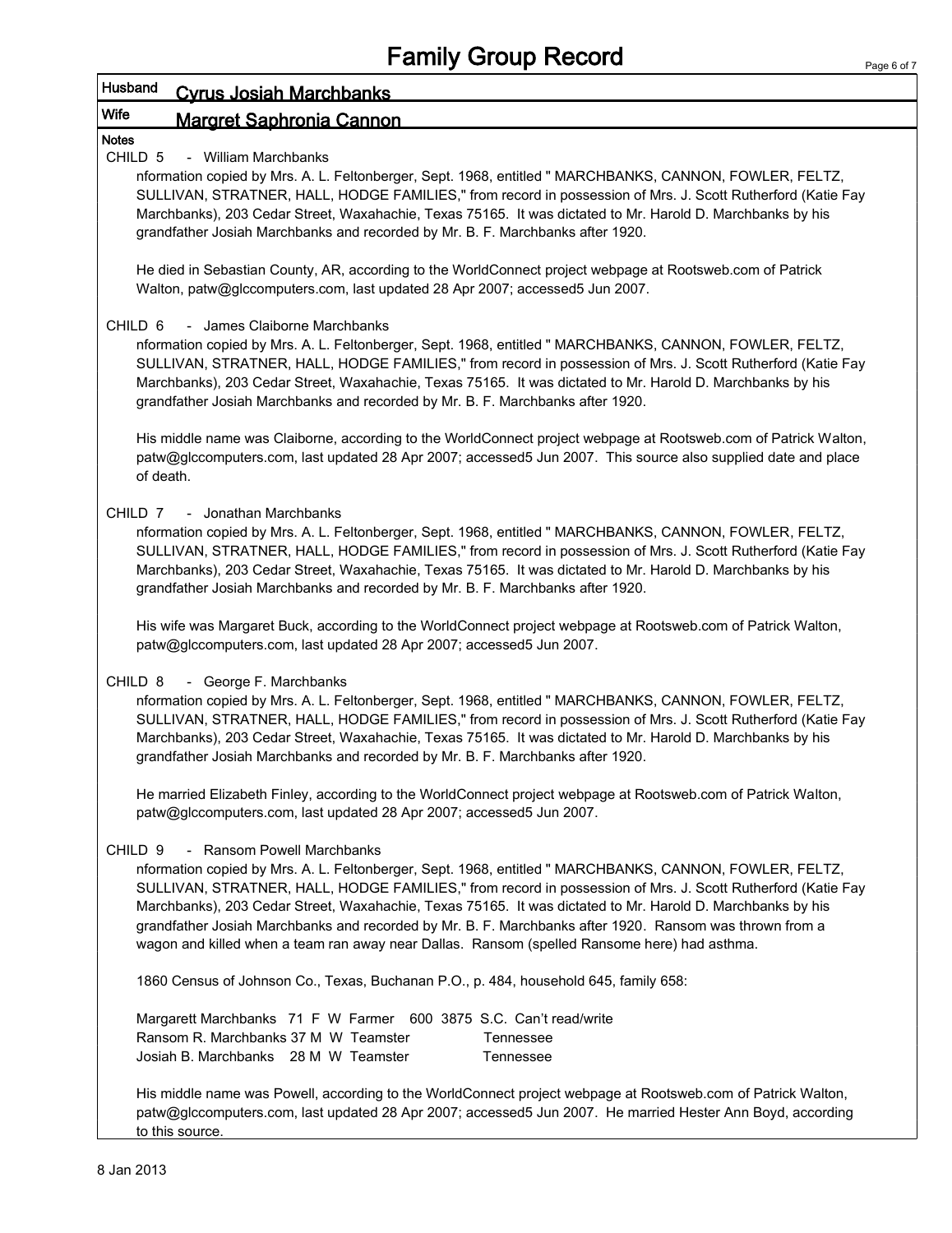## Husband Cyrus Josiah Marchbanks

## Wife Margret Saphronia Cannon

### CHILD 5 - William Marchbanks

Notes

nformation copied by Mrs. A. L. Feltonberger, Sept. 1968, entitled " MARCHBANKS, CANNON, FOWLER, FELTZ, SULLIVAN, STRATNER, HALL, HODGE FAMILIES," from record in possession of Mrs. J. Scott Rutherford (Katie Fay Marchbanks), 203 Cedar Street, Waxahachie, Texas 75165. It was dictated to Mr. Harold D. Marchbanks by his grandfather Josiah Marchbanks and recorded by Mr. B. F. Marchbanks after 1920.

He died in Sebastian County, AR, according to the WorldConnect project webpage at Rootsweb.com of Patrick Walton, patw@glccomputers.com, last updated 28 Apr 2007; accessed5 Jun 2007.

#### CHILD 6 - James Claiborne Marchbanks

nformation copied by Mrs. A. L. Feltonberger, Sept. 1968, entitled " MARCHBANKS, CANNON, FOWLER, FELTZ, SULLIVAN, STRATNER, HALL, HODGE FAMILIES," from record in possession of Mrs. J. Scott Rutherford (Katie Fay Marchbanks), 203 Cedar Street, Waxahachie, Texas 75165. It was dictated to Mr. Harold D. Marchbanks by his grandfather Josiah Marchbanks and recorded by Mr. B. F. Marchbanks after 1920.

His middle name was Claiborne, according to the WorldConnect project webpage at Rootsweb.com of Patrick Walton, patw@glccomputers.com, last updated 28 Apr 2007; accessed5 Jun 2007. This source also supplied date and place of death.

### CHILD 7 - Jonathan Marchbanks

nformation copied by Mrs. A. L. Feltonberger, Sept. 1968, entitled " MARCHBANKS, CANNON, FOWLER, FELTZ, SULLIVAN, STRATNER, HALL, HODGE FAMILIES," from record in possession of Mrs. J. Scott Rutherford (Katie Fay Marchbanks), 203 Cedar Street, Waxahachie, Texas 75165. It was dictated to Mr. Harold D. Marchbanks by his grandfather Josiah Marchbanks and recorded by Mr. B. F. Marchbanks after 1920.

His wife was Margaret Buck, according to the WorldConnect project webpage at Rootsweb.com of Patrick Walton, patw@glccomputers.com, last updated 28 Apr 2007; accessed5 Jun 2007.

CHILD 8 - George F. Marchbanks

nformation copied by Mrs. A. L. Feltonberger, Sept. 1968, entitled " MARCHBANKS, CANNON, FOWLER, FELTZ, SULLIVAN, STRATNER, HALL, HODGE FAMILIES," from record in possession of Mrs. J. Scott Rutherford (Katie Fay Marchbanks), 203 Cedar Street, Waxahachie, Texas 75165. It was dictated to Mr. Harold D. Marchbanks by his grandfather Josiah Marchbanks and recorded by Mr. B. F. Marchbanks after 1920.

He married Elizabeth Finley, according to the WorldConnect project webpage at Rootsweb.com of Patrick Walton, patw@glccomputers.com, last updated 28 Apr 2007; accessed5 Jun 2007.

#### CHILD 9 - Ransom Powell Marchbanks

nformation copied by Mrs. A. L. Feltonberger, Sept. 1968, entitled " MARCHBANKS, CANNON, FOWLER, FELTZ, SULLIVAN, STRATNER, HALL, HODGE FAMILIES," from record in possession of Mrs. J. Scott Rutherford (Katie Fay Marchbanks), 203 Cedar Street, Waxahachie, Texas 75165. It was dictated to Mr. Harold D. Marchbanks by his grandfather Josiah Marchbanks and recorded by Mr. B. F. Marchbanks after 1920. Ransom was thrown from a wagon and killed when a team ran away near Dallas. Ransom (spelled Ransome here) had asthma.

1860 Census of Johnson Co., Texas, Buchanan P.O., p. 484, household 645, family 658:

Margarett Marchbanks 71 F W Farmer 600 3875 S.C. Can't read/write Ransom R. Marchbanks 37 M W Teamster Tennessee Josiah B. Marchbanks 28 M W Teamster Tennessee

His middle name was Powell, according to the WorldConnect project webpage at Rootsweb.com of Patrick Walton, patw@glccomputers.com, last updated 28 Apr 2007; accessed5 Jun 2007. He married Hester Ann Boyd, according to this source.